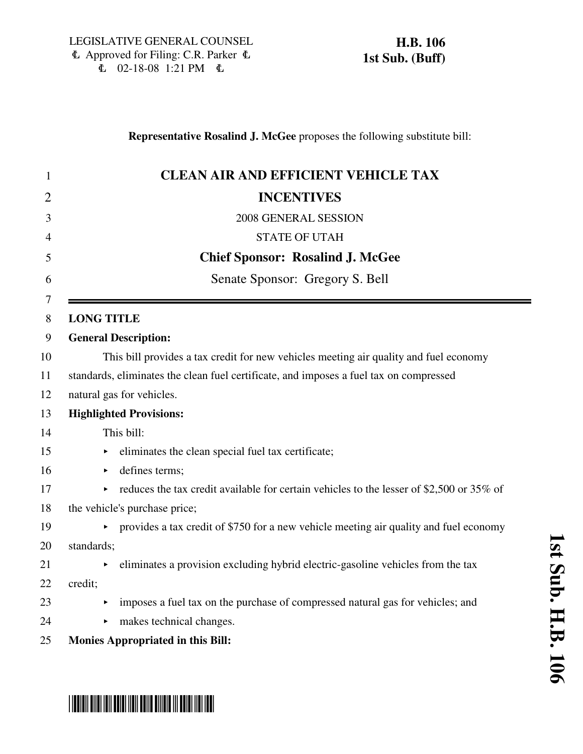# \*HB0106S01\* 1 **CLEAN AIR AND EFFICIENT VEHICLE TAX** 2 **INCENTIVES** 3 2008 GENERAL SESSION 4 STATE OF UTAH 5 **Chief Sponsor: Rosalind J. McGee** 6 Senate Sponsor: Gregory S. Bell 7 8 **LONG TITLE** 9 **General Description:** 10 This bill provides a tax credit for new vehicles meeting air quality and fuel economy 11 standards, eliminates the clean fuel certificate, and imposes a fuel tax on compressed 12 natural gas for vehicles. 13 **Highlighted Provisions:** 14 This bill: 15 < eliminates the clean special fuel tax certificate; 16 • defines terms: 17 educes the tax credit available for certain vehicles to the lesser of \$2,500 or 35% of 18 the vehicle's purchase price; 19 < provides a tax credit of \$750 for a new vehicle meeting air quality and fuel economy 20 standards;  $21$   $\rightarrow$  eliminates a provision excluding hybrid electric-gasoline vehicles from the tax 22 credit; 23 < imposes a fuel tax on the purchase of compressed natural gas for vehicles; and 24 makes technical changes. 25 **Monies Appropriated in this Bill:**

**Representative Rosalind J. McGee** proposes the following substitute bill: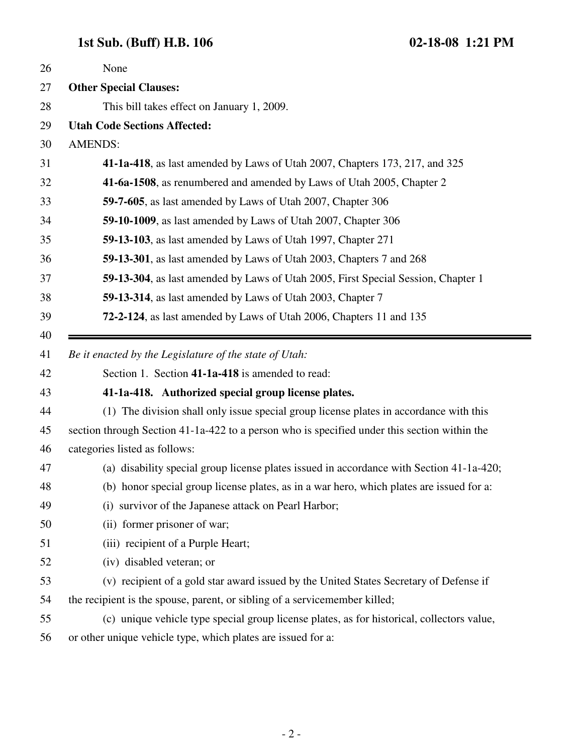| 26 | None                                                                                         |
|----|----------------------------------------------------------------------------------------------|
| 27 | <b>Other Special Clauses:</b>                                                                |
| 28 | This bill takes effect on January 1, 2009.                                                   |
| 29 | <b>Utah Code Sections Affected:</b>                                                          |
| 30 | <b>AMENDS:</b>                                                                               |
| 31 | 41-1a-418, as last amended by Laws of Utah 2007, Chapters 173, 217, and 325                  |
| 32 | 41-6a-1508, as renumbered and amended by Laws of Utah 2005, Chapter 2                        |
| 33 | 59-7-605, as last amended by Laws of Utah 2007, Chapter 306                                  |
| 34 | 59-10-1009, as last amended by Laws of Utah 2007, Chapter 306                                |
| 35 | 59-13-103, as last amended by Laws of Utah 1997, Chapter 271                                 |
| 36 | 59-13-301, as last amended by Laws of Utah 2003, Chapters 7 and 268                          |
| 37 | 59-13-304, as last amended by Laws of Utah 2005, First Special Session, Chapter 1            |
| 38 | 59-13-314, as last amended by Laws of Utah 2003, Chapter 7                                   |
| 39 | 72-2-124, as last amended by Laws of Utah 2006, Chapters 11 and 135                          |
| 40 |                                                                                              |
|    | Be it enacted by the Legislature of the state of Utah:                                       |
| 41 |                                                                                              |
| 42 | Section 1. Section 41-1a-418 is amended to read:                                             |
| 43 | 41-1a-418. Authorized special group license plates.                                          |
| 44 | (1) The division shall only issue special group license plates in accordance with this       |
| 45 | section through Section 41-1a-422 to a person who is specified under this section within the |
| 46 | categories listed as follows:                                                                |
| 47 | (a) disability special group license plates issued in accordance with Section 41-1a-420;     |
| 48 | (b) honor special group license plates, as in a war hero, which plates are issued for a:     |
| 49 | (i) survivor of the Japanese attack on Pearl Harbor;                                         |
| 50 | (ii) former prisoner of war;                                                                 |
| 51 | (iii) recipient of a Purple Heart;                                                           |
| 52 | (iv) disabled veteran; or                                                                    |
| 53 | (v) recipient of a gold star award issued by the United States Secretary of Defense if       |
| 54 | the recipient is the spouse, parent, or sibling of a servicemember killed;                   |
| 55 | (c) unique vehicle type special group license plates, as for historical, collectors value,   |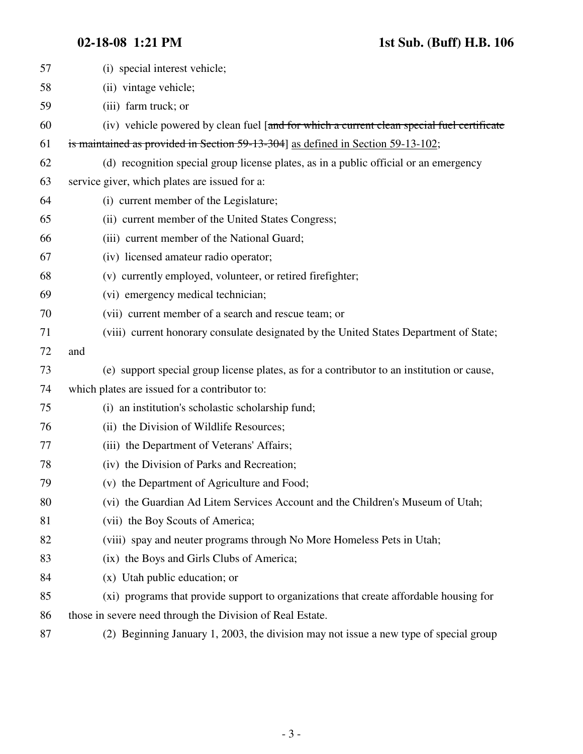| 57 | (i) special interest vehicle;                                                              |
|----|--------------------------------------------------------------------------------------------|
| 58 | (ii) vintage vehicle;                                                                      |
| 59 | (iii) farm truck; or                                                                       |
| 60 | (iv) vehicle powered by clean fuel [and for which a current clean special fuel certificate |
| 61 | is maintained as provided in Section 59-13-304] as defined in Section 59-13-102;           |
| 62 | (d) recognition special group license plates, as in a public official or an emergency      |
| 63 | service giver, which plates are issued for a:                                              |
| 64 | (i) current member of the Legislature;                                                     |
| 65 | (ii) current member of the United States Congress;                                         |
| 66 | (iii) current member of the National Guard;                                                |
| 67 | (iv) licensed amateur radio operator;                                                      |
| 68 | (v) currently employed, volunteer, or retired firefighter;                                 |
| 69 | (vi) emergency medical technician;                                                         |
| 70 | (vii) current member of a search and rescue team; or                                       |
| 71 | (viii) current honorary consulate designated by the United States Department of State;     |
| 72 | and                                                                                        |
| 73 | (e) support special group license plates, as for a contributor to an institution or cause, |
| 74 | which plates are issued for a contributor to:                                              |
| 75 | (i) an institution's scholastic scholarship fund;                                          |
| 76 | (ii) the Division of Wildlife Resources;                                                   |
| 77 | (iii) the Department of Veterans' Affairs;                                                 |
| 78 | (iv) the Division of Parks and Recreation;                                                 |
| 79 | (v) the Department of Agriculture and Food;                                                |
| 80 | (vi) the Guardian Ad Litem Services Account and the Children's Museum of Utah;             |
| 81 | (vii) the Boy Scouts of America;                                                           |
| 82 | (viii) spay and neuter programs through No More Homeless Pets in Utah;                     |
| 83 | (ix) the Boys and Girls Clubs of America;                                                  |
| 84 | $(x)$ Utah public education; or                                                            |
| 85 | (xi) programs that provide support to organizations that create affordable housing for     |
| 86 | those in severe need through the Division of Real Estate.                                  |
| 87 | (2) Beginning January 1, 2003, the division may not issue a new type of special group      |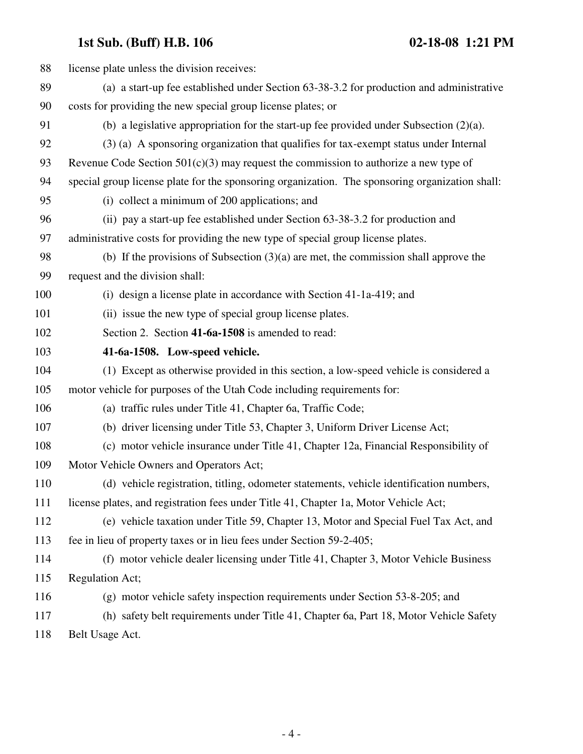| 88  | license plate unless the division receives:                                                     |
|-----|-------------------------------------------------------------------------------------------------|
| 89  | (a) a start-up fee established under Section 63-38-3.2 for production and administrative        |
| 90  | costs for providing the new special group license plates; or                                    |
| 91  | (b) a legislative appropriation for the start-up fee provided under Subsection $(2)(a)$ .       |
| 92  | (3) (a) A sponsoring organization that qualifies for tax-exempt status under Internal           |
| 93  | Revenue Code Section $501(c)(3)$ may request the commission to authorize a new type of          |
| 94  | special group license plate for the sponsoring organization. The sponsoring organization shall: |
| 95  | (i) collect a minimum of 200 applications; and                                                  |
| 96  | (ii) pay a start-up fee established under Section 63-38-3.2 for production and                  |
| 97  | administrative costs for providing the new type of special group license plates.                |
| 98  | (b) If the provisions of Subsection $(3)(a)$ are met, the commission shall approve the          |
| 99  | request and the division shall:                                                                 |
| 100 | (i) design a license plate in accordance with Section 41-1a-419; and                            |
| 101 | (ii) issue the new type of special group license plates.                                        |
| 102 | Section 2. Section 41-6a-1508 is amended to read:                                               |
| 103 | 41-6a-1508. Low-speed vehicle.                                                                  |
| 104 | (1) Except as otherwise provided in this section, a low-speed vehicle is considered a           |
| 105 | motor vehicle for purposes of the Utah Code including requirements for:                         |
| 106 | (a) traffic rules under Title 41, Chapter 6a, Traffic Code;                                     |
| 107 | (b) driver licensing under Title 53, Chapter 3, Uniform Driver License Act;                     |
| 108 | (c) motor vehicle insurance under Title 41, Chapter 12a, Financial Responsibility of            |
| 109 | Motor Vehicle Owners and Operators Act;                                                         |
| 110 | (d) vehicle registration, titling, odometer statements, vehicle identification numbers,         |
| 111 | license plates, and registration fees under Title 41, Chapter 1a, Motor Vehicle Act;            |
| 112 | (e) vehicle taxation under Title 59, Chapter 13, Motor and Special Fuel Tax Act, and            |
| 113 | fee in lieu of property taxes or in lieu fees under Section 59-2-405;                           |
| 114 | (f) motor vehicle dealer licensing under Title 41, Chapter 3, Motor Vehicle Business            |
| 115 | <b>Regulation Act;</b>                                                                          |
| 116 | (g) motor vehicle safety inspection requirements under Section 53-8-205; and                    |
| 117 | (h) safety belt requirements under Title 41, Chapter 6a, Part 18, Motor Vehicle Safety          |
| 118 | Belt Usage Act.                                                                                 |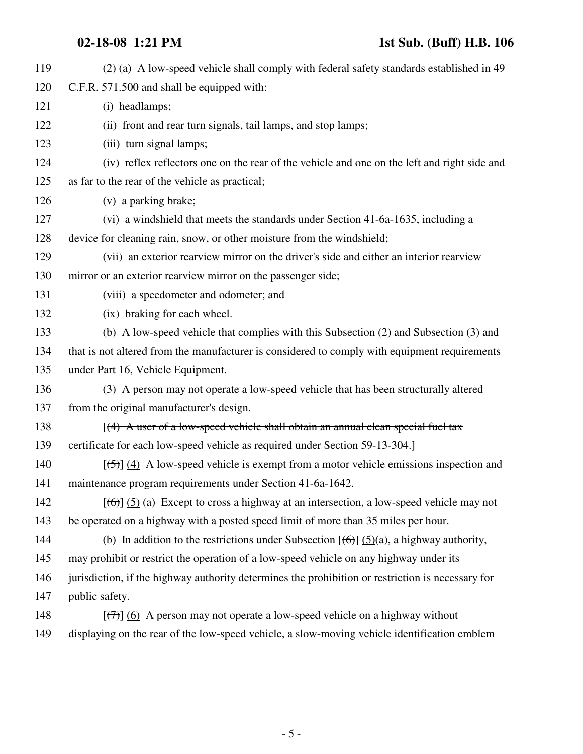## **02-18-08 1:21 PM 1st Sub. (Buff) H.B. 106**

| 119 | (2) (a) A low-speed vehicle shall comply with federal safety standards established in 49                  |
|-----|-----------------------------------------------------------------------------------------------------------|
| 120 | C.F.R. 571.500 and shall be equipped with:                                                                |
| 121 | (i) headlamps;                                                                                            |
| 122 | (ii) front and rear turn signals, tail lamps, and stop lamps;                                             |
| 123 | (iii) turn signal lamps;                                                                                  |
| 124 | (iv) reflex reflectors one on the rear of the vehicle and one on the left and right side and              |
| 125 | as far to the rear of the vehicle as practical;                                                           |
| 126 | (v) a parking brake;                                                                                      |
| 127 | (vi) a windshield that meets the standards under Section 41-6a-1635, including a                          |
| 128 | device for cleaning rain, snow, or other moisture from the windshield;                                    |
| 129 | (vii) an exterior rearview mirror on the driver's side and either an interior rearview                    |
| 130 | mirror or an exterior rearview mirror on the passenger side;                                              |
| 131 | (viii) a speedometer and odometer; and                                                                    |
| 132 | (ix) braking for each wheel.                                                                              |
| 133 | (b) A low-speed vehicle that complies with this Subsection (2) and Subsection (3) and                     |
| 134 | that is not altered from the manufacturer is considered to comply with equipment requirements             |
| 135 | under Part 16, Vehicle Equipment.                                                                         |
| 136 | (3) A person may not operate a low-speed vehicle that has been structurally altered                       |
| 137 | from the original manufacturer's design.                                                                  |
| 138 | $(4)$ A user of a low-speed vehicle shall obtain an annual clean special fuel tax                         |
| 139 | certificate for each low-speed vehicle as required under Section 59-13-304.]                              |
| 140 | $[\frac{(-5)}{4}]$ (4) A low-speed vehicle is exempt from a motor vehicle emissions inspection and        |
| 141 | maintenance program requirements under Section 41-6a-1642.                                                |
| 142 | $[(6)]$ (5) (a) Except to cross a highway at an intersection, a low-speed vehicle may not                 |
| 143 | be operated on a highway with a posted speed limit of more than 35 miles per hour.                        |
| 144 | (b) In addition to the restrictions under Subsection $[\text{f6}]$ (5)(a), a highway authority,           |
| 145 | may prohibit or restrict the operation of a low-speed vehicle on any highway under its                    |
| 146 | jurisdiction, if the highway authority determines the prohibition or restriction is necessary for         |
| 147 | public safety.                                                                                            |
| 148 | $[\langle \overline{\tau} \rangle]$ (6) A person may not operate a low-speed vehicle on a highway without |
| 149 | displaying on the rear of the low-speed vehicle, a slow-moving vehicle identification emblem              |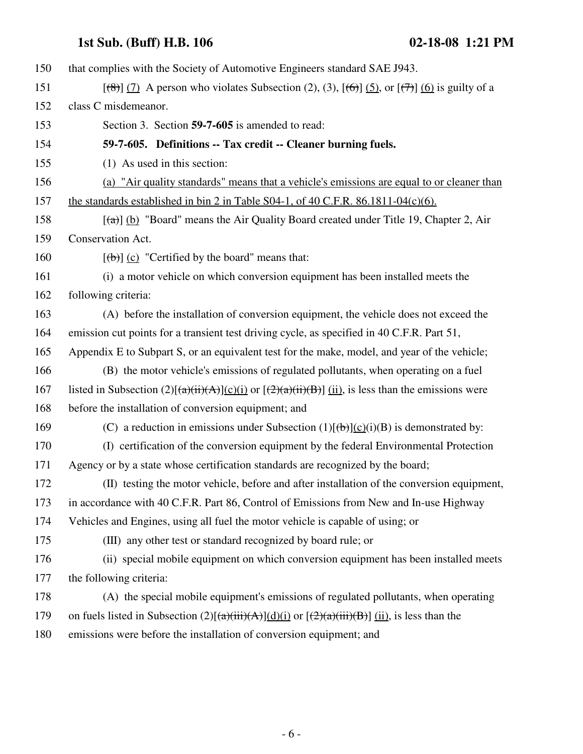150 that complies with the Society of Automotive Engineers standard SAE J943. 151  $[(8)]$  (7) A person who violates Subsection (2), (3),  $[6]$  (5), or  $[7]$  (6) is guilty of a 152 class C misdemeanor. 153 Section 3. Section **59-7-605** is amended to read: 154 **59-7-605. Definitions -- Tax credit -- Cleaner burning fuels.** 155 (1) As used in this section: 156 (a) "Air quality standards" means that a vehicle's emissions are equal to or cleaner than 157 the standards established in bin 2 in Table S04-1, of 40 C.F.R. 86.1811-04(c)(6). 158  $[(a)] (b)$  "Board" means the Air Quality Board created under Title 19, Chapter 2, Air 159 Conservation Act. 160  $[\frac{1}{2}]$  (c) "Certified by the board" means that: 161 (i) a motor vehicle on which conversion equipment has been installed meets the 162 following criteria: 163 (A) before the installation of conversion equipment, the vehicle does not exceed the 164 emission cut points for a transient test driving cycle, as specified in 40 C.F.R. Part 51, 165 Appendix E to Subpart S, or an equivalent test for the make, model, and year of the vehicle; 166 (B) the motor vehicle's emissions of regulated pollutants, when operating on a fuel 167 listed in Subsection (2)[ $\frac{a}{i}$ (ii)(A)](c)(i) or  $\frac{2}{a}$ (ii)(B)] (ii), is less than the emissions were 168 before the installation of conversion equipment; and 169 (C) a reduction in emissions under Subsection  $(1)[(\theta)(c)(i)(B)$  is demonstrated by: 170 (I) certification of the conversion equipment by the federal Environmental Protection 171 Agency or by a state whose certification standards are recognized by the board; 172 (II) testing the motor vehicle, before and after installation of the conversion equipment, 173 in accordance with 40 C.F.R. Part 86, Control of Emissions from New and In-use Highway 174 Vehicles and Engines, using all fuel the motor vehicle is capable of using; or 175 (III) any other test or standard recognized by board rule; or 176 (ii) special mobile equipment on which conversion equipment has been installed meets 177 the following criteria: 178 (A) the special mobile equipment's emissions of regulated pollutants, when operating 179 on fuels listed in Subsection  $(2)[(a)(ii)(A)](d)(i)$  or  $[(2)(a)(iii)(B)]$  (ii), is less than the 180 emissions were before the installation of conversion equipment; and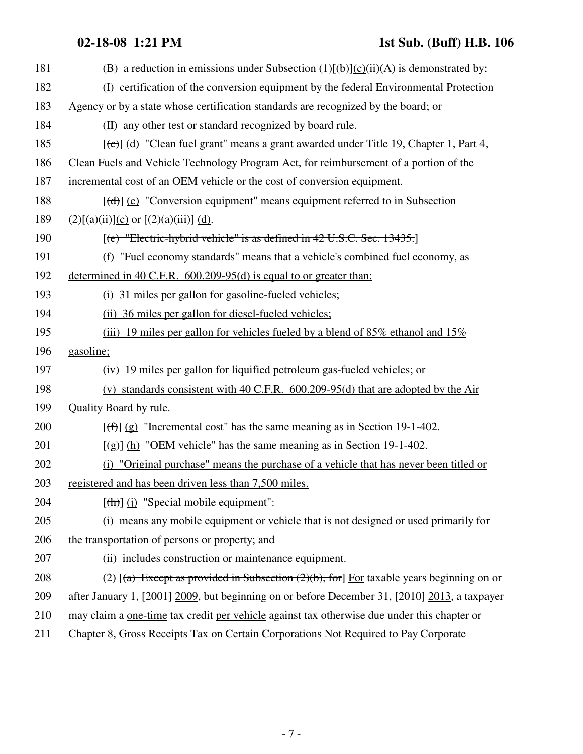## **02-18-08 1:21 PM 1st Sub. (Buff) H.B. 106**

| 181 | (B) a reduction in emissions under Subsection $(1)[\theta]$ (c)(ii)(A) is demonstrated by:                        |
|-----|-------------------------------------------------------------------------------------------------------------------|
| 182 | (I) certification of the conversion equipment by the federal Environmental Protection                             |
| 183 | Agency or by a state whose certification standards are recognized by the board; or                                |
| 184 | (II) any other test or standard recognized by board rule.                                                         |
| 185 | $[\text{e} \rightarrow \text{e}]$ (d) "Clean fuel grant" means a grant awarded under Title 19, Chapter 1, Part 4, |
| 186 | Clean Fuels and Vehicle Technology Program Act, for reimbursement of a portion of the                             |
| 187 | incremental cost of an OEM vehicle or the cost of conversion equipment.                                           |
| 188 | $[\text{(\text{d})}]$ (e) "Conversion equipment" means equipment referred to in Subsection                        |
| 189 | $(2)[(a)(ii)](c)$ or $[(2)(a)(iii)]$ (d).                                                                         |
| 190 | [(e) "Electric-hybrid vehicle" is as defined in 42 U.S.C. Sec. 13435.]                                            |
| 191 | (f) "Fuel economy standards" means that a vehicle's combined fuel economy, as                                     |
| 192 | determined in 40 C.F.R. $600.209-95(d)$ is equal to or greater than:                                              |
| 193 | (i) 31 miles per gallon for gasoline-fueled vehicles;                                                             |
| 194 | (ii) 36 miles per gallon for diesel-fueled vehicles;                                                              |
| 195 | (iii) 19 miles per gallon for vehicles fueled by a blend of $85\%$ ethanol and $15\%$                             |
| 196 | gasoline;                                                                                                         |
| 197 | (iv) 19 miles per gallon for liquified petroleum gas-fueled vehicles; or                                          |
| 198 | (v) standards consistent with 40 C.F.R. $600.209-95(d)$ that are adopted by the Air                               |
| 199 | <b>Quality Board by rule.</b>                                                                                     |
| 200 | $[\text{f}^{\text{f}}\text{f}^{\text{f}}]$ (g) "Incremental cost" has the same meaning as in Section 19-1-402.    |
| 201 | $[\frac{1}{2}]$ (h) "OEM vehicle" has the same meaning as in Section 19-1-402.                                    |
| 202 | "Original purchase" means the purchase of a vehicle that has never been titled or<br>(i)                          |
| 203 | registered and has been driven less than 7,500 miles.                                                             |
| 204 | $[\frac{h}{\ln}]$ (i) "Special mobile equipment":                                                                 |
| 205 | (i) means any mobile equipment or vehicle that is not designed or used primarily for                              |
| 206 | the transportation of persons or property; and                                                                    |
| 207 | (ii) includes construction or maintenance equipment.                                                              |
| 208 | (2) $\left[\frac{a}{b}\right]$ Except as provided in Subsection (2)(b), for Eor taxable years beginning on or     |
| 209 | after January 1, [2001] 2009, but beginning on or before December 31, [2010] 2013, a taxpayer                     |
| 210 | may claim a <u>one-time</u> tax credit per vehicle against tax otherwise due under this chapter or                |
| 211 | Chapter 8, Gross Receipts Tax on Certain Corporations Not Required to Pay Corporate                               |
|     |                                                                                                                   |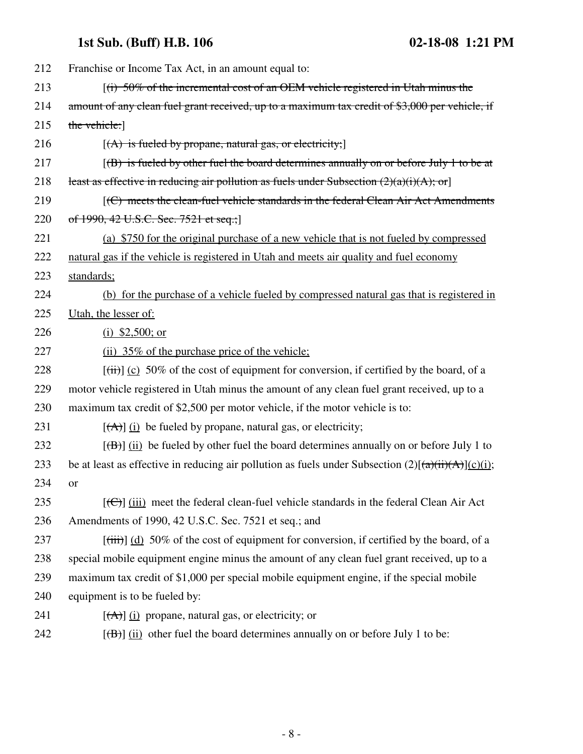| 212 | Franchise or Income Tax Act, in an amount equal to:                                                      |
|-----|----------------------------------------------------------------------------------------------------------|
| 213 | $(i)$ 50% of the incremental cost of an OEM vehicle registered in Utah minus the                         |
| 214 | amount of any clean fuel grant received, up to a maximum tax credit of \$3,000 per vehicle, if           |
| 215 | the vehicle:                                                                                             |
| 216 | $[(A)$ is fueled by propane, natural gas, or electricity;                                                |
| 217 | $(6)$ is fueled by other fuel the board determines annually on or before July 1 to be at                 |
| 218 | least as effective in reducing air pollution as fuels under Subsection $(2)(a)(i)(A)$ ; or               |
| 219 | [(C) meets the clean-fuel vehicle standards in the federal Clean Air Act Amendments                      |
| 220 | of 1990, 42 U.S.C. Sec. 7521 et seq.;                                                                    |
| 221 | (a) \$750 for the original purchase of a new vehicle that is not fueled by compressed                    |
| 222 | natural gas if the vehicle is registered in Utah and meets air quality and fuel economy                  |
| 223 | standards;                                                                                               |
| 224 | (b) for the purchase of a vehicle fueled by compressed natural gas that is registered in                 |
| 225 | Utah, the lesser of:                                                                                     |
| 226 | (i) $$2,500;$ or                                                                                         |
| 227 | $(ii)$ 35% of the purchase price of the vehicle;                                                         |
| 228 | $[\overrightarrow{t})]$ (c) 50% of the cost of equipment for conversion, if certified by the board, of a |
| 229 | motor vehicle registered in Utah minus the amount of any clean fuel grant received, up to a              |
| 230 | maximum tax credit of \$2,500 per motor vehicle, if the motor vehicle is to:                             |
| 231 | $[\vec{A}]$ (i) be fueled by propane, natural gas, or electricity;                                       |
| 232 | $[\overline{(B)}]$ (ii) be fueled by other fuel the board determines annually on or before July 1 to     |
| 233 | be at least as effective in reducing air pollution as fuels under Subsection $(2)[(a)(ii)(A)](c)(i)$ ;   |
| 234 | <b>or</b>                                                                                                |
| 235 | $[\text{f}\Theta]$ (iii) meet the federal clean-fuel vehicle standards in the federal Clean Air Act      |
| 236 | Amendments of 1990, 42 U.S.C. Sec. 7521 et seq.; and                                                     |
| 237 | $[\text{(iii)}]$ (d) 50% of the cost of equipment for conversion, if certified by the board, of a        |
| 238 | special mobile equipment engine minus the amount of any clean fuel grant received, up to a               |
| 239 | maximum tax credit of \$1,000 per special mobile equipment engine, if the special mobile                 |
| 240 | equipment is to be fueled by:                                                                            |
| 241 | $[\vec{A}]$ (i) propane, natural gas, or electricity; or                                                 |
| 242 | $[\overline{(\mathbf{B})}]$ (ii) other fuel the board determines annually on or before July 1 to be:     |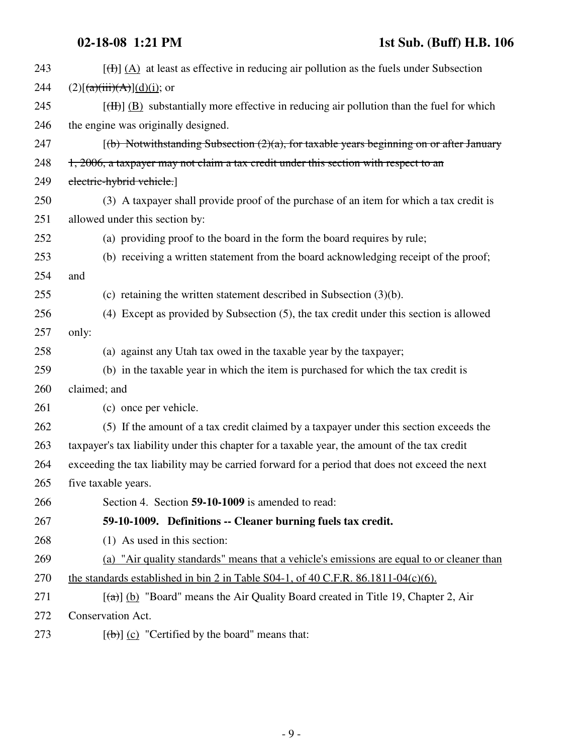| 243 | $[\frac{H}{(h)}](A)$ at least as effective in reducing air pollution as the fuels under Subsection      |
|-----|---------------------------------------------------------------------------------------------------------|
| 244 | $(2)[(a)(iii)(A)](d)(i);$ or                                                                            |
| 245 | $[\text{H}\text{H}]$ (B) substantially more effective in reducing air pollution than the fuel for which |
| 246 | the engine was originally designed.                                                                     |
| 247 | $[$ (b) Notwithstanding Subsection $(2)$ (a), for taxable years beginning on or after January           |
| 248 | 1, 2006, a taxpayer may not claim a tax credit under this section with respect to an                    |
| 249 | electric-hybrid vehicle.]                                                                               |
| 250 | (3) A taxpayer shall provide proof of the purchase of an item for which a tax credit is                 |
| 251 | allowed under this section by:                                                                          |
| 252 | (a) providing proof to the board in the form the board requires by rule;                                |
| 253 | (b) receiving a written statement from the board acknowledging receipt of the proof;                    |
| 254 | and                                                                                                     |
| 255 | (c) retaining the written statement described in Subsection $(3)(b)$ .                                  |
| 256 | (4) Except as provided by Subsection (5), the tax credit under this section is allowed                  |
| 257 | only:                                                                                                   |
| 258 | (a) against any Utah tax owed in the taxable year by the taxpayer;                                      |
| 259 | (b) in the taxable year in which the item is purchased for which the tax credit is                      |
| 260 | claimed; and                                                                                            |
| 261 | (c) once per vehicle.                                                                                   |
| 262 | (5) If the amount of a tax credit claimed by a taxpayer under this section exceeds the                  |
| 263 | taxpayer's tax liability under this chapter for a taxable year, the amount of the tax credit            |
| 264 | exceeding the tax liability may be carried forward for a period that does not exceed the next           |
| 265 | five taxable years.                                                                                     |
| 266 | Section 4. Section 59-10-1009 is amended to read:                                                       |
| 267 | 59-10-1009. Definitions -- Cleaner burning fuels tax credit.                                            |
| 268 | (1) As used in this section:                                                                            |
| 269 | (a) "Air quality standards" means that a vehicle's emissions are equal to or cleaner than               |
| 270 | the standards established in bin 2 in Table S04-1, of 40 C.F.R. $86.1811-04(c)(6)$ .                    |
| 271 | $[\text{A}]\,$ (b) "Board" means the Air Quality Board created in Title 19, Chapter 2, Air              |
| 272 | Conservation Act.                                                                                       |
| 273 | $[\text{(\text{b})}]$ (c) "Certified by the board" means that:                                          |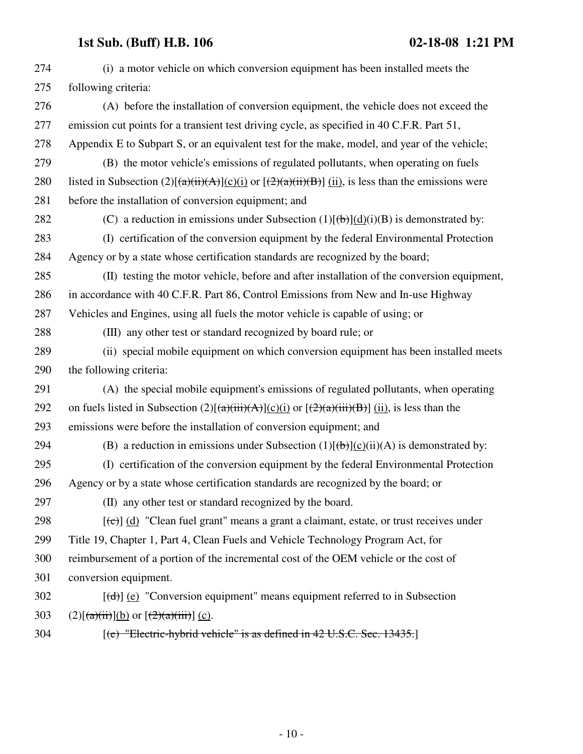| 274 | (i) a motor vehicle on which conversion equipment has been installed meets the                            |
|-----|-----------------------------------------------------------------------------------------------------------|
| 275 | following criteria:                                                                                       |
| 276 | (A) before the installation of conversion equipment, the vehicle does not exceed the                      |
| 277 | emission cut points for a transient test driving cycle, as specified in 40 C.F.R. Part 51,                |
| 278 | Appendix E to Subpart S, or an equivalent test for the make, model, and year of the vehicle;              |
| 279 | (B) the motor vehicle's emissions of regulated pollutants, when operating on fuels                        |
| 280 | listed in Subsection (2)[ $(a)(ii)(A)(c)(i)$ or [ $(2)(a)(ii)(B)$ ] (ii), is less than the emissions were |
| 281 | before the installation of conversion equipment; and                                                      |
| 282 | (C) a reduction in emissions under Subsection $(1)[(b)](d)(i)(B)$ is demonstrated by:                     |
| 283 | (I) certification of the conversion equipment by the federal Environmental Protection                     |
| 284 | Agency or by a state whose certification standards are recognized by the board;                           |
| 285 | (II) testing the motor vehicle, before and after installation of the conversion equipment,                |
| 286 | in accordance with 40 C.F.R. Part 86, Control Emissions from New and In-use Highway                       |
| 287 | Vehicles and Engines, using all fuels the motor vehicle is capable of using; or                           |
| 288 | (III) any other test or standard recognized by board rule; or                                             |
| 289 | (ii) special mobile equipment on which conversion equipment has been installed meets                      |
| 290 | the following criteria:                                                                                   |
| 291 | (A) the special mobile equipment's emissions of regulated pollutants, when operating                      |
| 292 | on fuels listed in Subsection $(2)[(a)(iii)(A)](c)(i)$ or $[(2)(a)(iii)(B)]$ (ii), is less than the       |
| 293 | emissions were before the installation of conversion equipment; and                                       |
| 294 | (B) a reduction in emissions under Subsection $(1)[\theta]$ (c)(ii)(A) is demonstrated by:                |
| 295 | (I) certification of the conversion equipment by the federal Environmental Protection                     |
| 296 | Agency or by a state whose certification standards are recognized by the board; or                        |
| 297 | (II) any other test or standard recognized by the board.                                                  |
| 298 | $[\text{e}^{-}]$ (d) "Clean fuel grant" means a grant a claimant, estate, or trust receives under         |
| 299 | Title 19, Chapter 1, Part 4, Clean Fuels and Vehicle Technology Program Act, for                          |
| 300 | reimbursement of a portion of the incremental cost of the OEM vehicle or the cost of                      |
| 301 | conversion equipment.                                                                                     |
| 302 | $[\text{(\text{d})}]$ (e) "Conversion equipment" means equipment referred to in Subsection                |
| 303 | $(2)[(a)(ii)](b)$ or $[(2)(a)(iii)]$ (c).                                                                 |
| 304 | [(e) "Electric-hybrid vehicle" is as defined in 42 U.S.C. Sec. 13435.]                                    |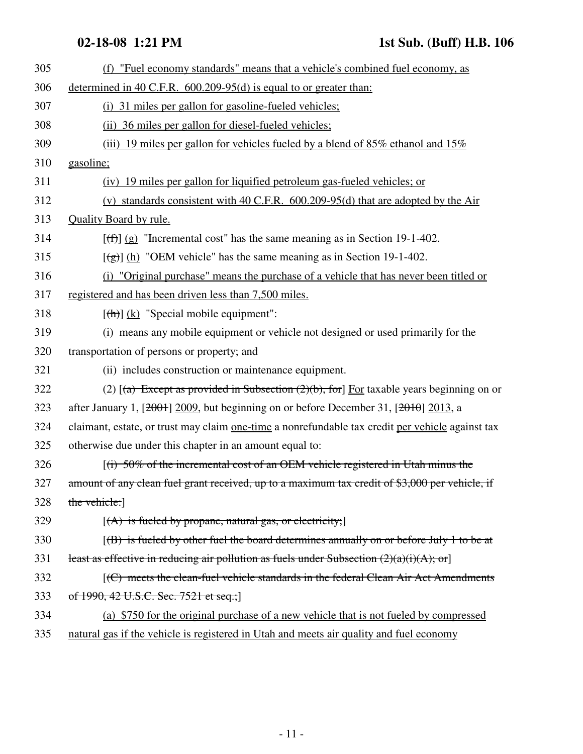| 305 | (f) "Fuel economy standards" means that a vehicle's combined fuel economy, as                                             |
|-----|---------------------------------------------------------------------------------------------------------------------------|
| 306 | determined in 40 C.F.R. $600.209-95(d)$ is equal to or greater than:                                                      |
| 307 | (i) 31 miles per gallon for gasoline-fueled vehicles;                                                                     |
| 308 | (ii) 36 miles per gallon for diesel-fueled vehicles;                                                                      |
| 309 | (iii) 19 miles per gallon for vehicles fueled by a blend of $85\%$ ethanol and $15\%$                                     |
| 310 | gasoline;                                                                                                                 |
| 311 | (iv) 19 miles per gallon for liquified petroleum gas-fueled vehicles; or                                                  |
| 312 | (v) standards consistent with 40 C.F.R. $600.209-95(d)$ that are adopted by the Air                                       |
| 313 | <b>Quality Board by rule.</b>                                                                                             |
| 314 | $[\text{f} \cdot \text{f} \cdot \text{f} \cdot \text{g}]$ "Incremental cost" has the same meaning as in Section 19-1-402. |
| 315 | $[\frac{1}{2}]$ (h) "OEM vehicle" has the same meaning as in Section 19-1-402.                                            |
| 316 | "Original purchase" means the purchase of a vehicle that has never been titled or<br>(i)                                  |
| 317 | registered and has been driven less than 7,500 miles.                                                                     |
| 318 | $[\frac{h}{\ln}]$ (k) "Special mobile equipment":                                                                         |
| 319 | (i) means any mobile equipment or vehicle not designed or used primarily for the                                          |
| 320 | transportation of persons or property; and                                                                                |
| 321 | (ii) includes construction or maintenance equipment.                                                                      |
| 322 | (2) $[(a)$ Except as provided in Subsection (2)(b), for] For taxable years beginning on or                                |
| 323 | after January 1, $[2001]$ 2009, but beginning on or before December 31, $[2010]$ 2013, a                                  |
| 324 | claimant, estate, or trust may claim one-time a nonrefundable tax credit per vehicle against tax                          |
| 325 | otherwise due under this chapter in an amount equal to:                                                                   |
| 326 | $(i)$ 50% of the incremental cost of an OEM vehicle registered in Utah minus the                                          |
| 327 | amount of any clean fuel grant received, up to a maximum tax credit of \$3,000 per vehicle, if                            |
| 328 | the vehicle:                                                                                                              |
| 329 | $[(A)$ is fueled by propane, natural gas, or electricity;                                                                 |
| 330 | $[(B)$ is fueled by other fuel the board determines annually on or before July 1 to be at                                 |
| 331 | least as effective in reducing air pollution as fuels under Subsection $(2)(a)(i)(A);$ or                                 |
| 332 | [(C) meets the clean-fuel vehicle standards in the federal Clean Air Act Amendments                                       |
| 333 | of 1990, 42 U.S.C. Sec. 7521 et seq.;                                                                                     |
| 334 | (a) \$750 for the original purchase of a new vehicle that is not fueled by compressed                                     |
| 335 | natural gas if the vehicle is registered in Utah and meets air quality and fuel economy                                   |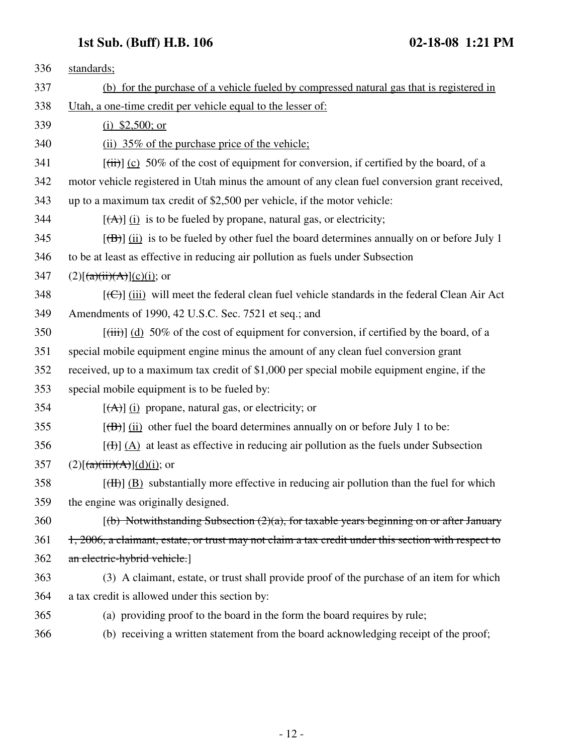| 336 | standards;                                                                                                         |
|-----|--------------------------------------------------------------------------------------------------------------------|
| 337 | (b) for the purchase of a vehicle fueled by compressed natural gas that is registered in                           |
| 338 | Utah, a one-time credit per vehicle equal to the lesser of:                                                        |
| 339 | (i) $$2,500;$ or                                                                                                   |
| 340 | (ii) 35% of the purchase price of the vehicle;                                                                     |
| 341 | $[\overrightarrow{(ii)}]$ (c) 50% of the cost of equipment for conversion, if certified by the board, of a         |
| 342 | motor vehicle registered in Utah minus the amount of any clean fuel conversion grant received,                     |
| 343 | up to a maximum tax credit of \$2,500 per vehicle, if the motor vehicle:                                           |
| 344 | $[\vec{A}]$ (i) is to be fueled by propane, natural gas, or electricity;                                           |
| 345 | $[\overline{(\mathbf{B})}]$ (ii) is to be fueled by other fuel the board determines annually on or before July 1   |
| 346 | to be at least as effective in reducing air pollution as fuels under Subsection                                    |
| 347 | $(2)[(a)(ii)(A)](c)(i);$ or                                                                                        |
| 348 | $[\text{(\textcircled{f})}]$ (iii) will meet the federal clean fuel vehicle standards in the federal Clean Air Act |
| 349 | Amendments of 1990, 42 U.S.C. Sec. 7521 et seq.; and                                                               |
| 350 | $[\text{(iii)}]$ (d) 50% of the cost of equipment for conversion, if certified by the board, of a                  |
| 351 | special mobile equipment engine minus the amount of any clean fuel conversion grant                                |
| 352 | received, up to a maximum tax credit of \$1,000 per special mobile equipment engine, if the                        |
| 353 | special mobile equipment is to be fueled by:                                                                       |
| 354 | $[\vec{A}]$ (i) propane, natural gas, or electricity; or                                                           |
| 355 | $[\overline{(\mathbf{B})}]$ (ii) other fuel the board determines annually on or before July 1 to be:               |
| 356 | $[\frac{H}{(H)}](A)$ at least as effective in reducing air pollution as the fuels under Subsection                 |
| 357 | $(2)[(a)(iii)(A)](d)(i);$ or                                                                                       |
| 358 | $[\text{H}\text{H}]$ (B) substantially more effective in reducing air pollution than the fuel for which            |
| 359 | the engine was originally designed.                                                                                |
| 360 | $(6)$ Notwithstanding Subsection $(2)(a)$ , for taxable years beginning on or after January                        |
| 361 | 1, 2006, a claimant, estate, or trust may not claim a tax credit under this section with respect to                |
| 362 | an electric-hybrid vehicle.]                                                                                       |
| 363 | (3) A claimant, estate, or trust shall provide proof of the purchase of an item for which                          |
| 364 | a tax credit is allowed under this section by:                                                                     |
| 365 | (a) providing proof to the board in the form the board requires by rule;                                           |
| 366 | (b) receiving a written statement from the board acknowledging receipt of the proof;                               |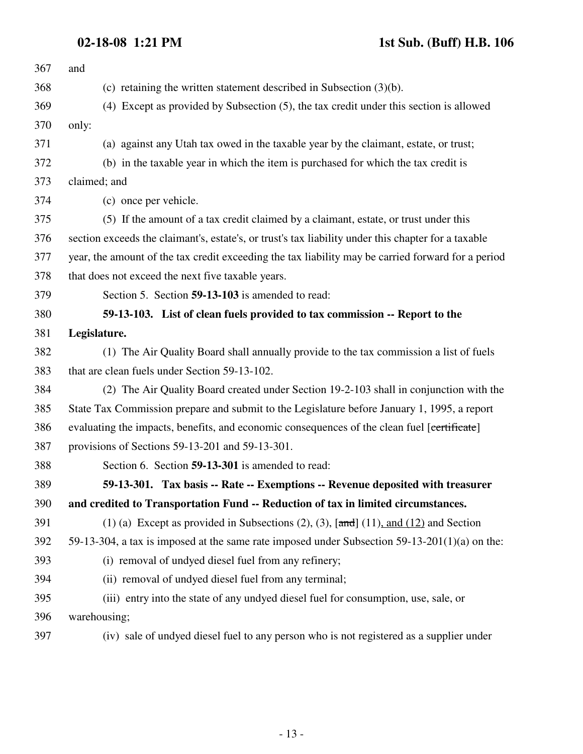**02-18-08 1:21 PM 1st Sub. (Buff) H.B. 106**

| 367 | and                                                                                                 |
|-----|-----------------------------------------------------------------------------------------------------|
| 368 | (c) retaining the written statement described in Subsection $(3)(b)$ .                              |
| 369 | (4) Except as provided by Subsection (5), the tax credit under this section is allowed              |
| 370 | only:                                                                                               |
| 371 | (a) against any Utah tax owed in the taxable year by the claimant, estate, or trust;                |
| 372 | (b) in the taxable year in which the item is purchased for which the tax credit is                  |
| 373 | claimed; and                                                                                        |
| 374 | (c) once per vehicle.                                                                               |
| 375 | (5) If the amount of a tax credit claimed by a claimant, estate, or trust under this                |
| 376 | section exceeds the claimant's, estate's, or trust's tax liability under this chapter for a taxable |
| 377 | year, the amount of the tax credit exceeding the tax liability may be carried forward for a period  |
| 378 | that does not exceed the next five taxable years.                                                   |
| 379 | Section 5. Section 59-13-103 is amended to read:                                                    |
| 380 | 59-13-103. List of clean fuels provided to tax commission -- Report to the                          |
| 381 | Legislature.                                                                                        |
| 382 | (1) The Air Quality Board shall annually provide to the tax commission a list of fuels              |
| 383 | that are clean fuels under Section 59-13-102.                                                       |
| 384 | (2) The Air Quality Board created under Section 19-2-103 shall in conjunction with the              |
| 385 | State Tax Commission prepare and submit to the Legislature before January 1, 1995, a report         |
| 386 | evaluating the impacts, benefits, and economic consequences of the clean fuel [certificate]         |
| 387 | provisions of Sections 59-13-201 and 59-13-301.                                                     |
| 388 | Section 6. Section 59-13-301 is amended to read:                                                    |
| 389 | 59-13-301. Tax basis -- Rate -- Exemptions -- Revenue deposited with treasurer                      |
| 390 | and credited to Transportation Fund -- Reduction of tax in limited circumstances.                   |
| 391 | (1) (a) Except as provided in Subsections (2), (3), $[\text{and}](11)$ , and (12) and Section       |
| 392 | 59-13-304, a tax is imposed at the same rate imposed under Subsection $59-13-201(1)(a)$ on the:     |
| 393 | (i) removal of undyed diesel fuel from any refinery;                                                |
| 394 | (ii) removal of undyed diesel fuel from any terminal;                                               |
| 395 | (iii) entry into the state of any undyed diesel fuel for consumption, use, sale, or                 |
| 396 | warehousing;                                                                                        |
| 397 | (iv) sale of undyed diesel fuel to any person who is not registered as a supplier under             |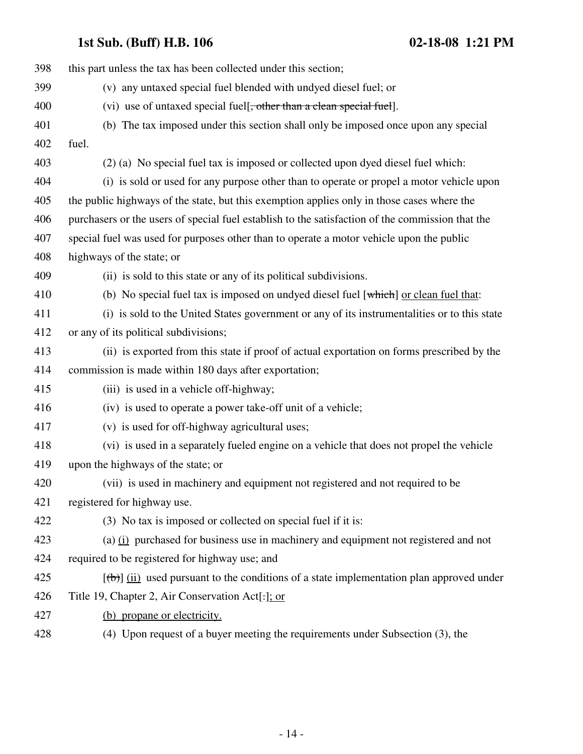| 398 | this part unless the tax has been collected under this section;                                  |
|-----|--------------------------------------------------------------------------------------------------|
| 399 | (v) any untaxed special fuel blended with undyed diesel fuel; or                                 |
| 400 | (vi) use of untaxed special fuel <del>[, other than a clean special fuel</del> ].                |
| 401 | (b) The tax imposed under this section shall only be imposed once upon any special               |
| 402 | fuel.                                                                                            |
| 403 | (2) (a) No special fuel tax is imposed or collected upon dyed diesel fuel which:                 |
| 404 | (i) is sold or used for any purpose other than to operate or propel a motor vehicle upon         |
| 405 | the public highways of the state, but this exemption applies only in those cases where the       |
| 406 | purchasers or the users of special fuel establish to the satisfaction of the commission that the |
| 407 | special fuel was used for purposes other than to operate a motor vehicle upon the public         |
| 408 | highways of the state; or                                                                        |
| 409 | (ii) is sold to this state or any of its political subdivisions.                                 |
| 410 | (b) No special fuel tax is imposed on undyed diesel fuel $[\text{which}]$ or clean fuel that:    |
| 411 | (i) is sold to the United States government or any of its instrumentalities or to this state     |
| 412 | or any of its political subdivisions;                                                            |
| 413 | (ii) is exported from this state if proof of actual exportation on forms prescribed by the       |
| 414 | commission is made within 180 days after exportation;                                            |
| 415 | (iii) is used in a vehicle off-highway;                                                          |
| 416 | (iv) is used to operate a power take-off unit of a vehicle;                                      |
| 417 | (v) is used for off-highway agricultural uses;                                                   |
| 418 | (vi) is used in a separately fueled engine on a vehicle that does not propel the vehicle         |
| 419 | upon the highways of the state; or                                                               |
| 420 | (vii) is used in machinery and equipment not registered and not required to be                   |
| 421 | registered for highway use.                                                                      |
| 422 | (3) No tax is imposed or collected on special fuel if it is:                                     |
| 423 | (a) $(i)$ purchased for business use in machinery and equipment not registered and not           |
| 424 | required to be registered for highway use; and                                                   |
| 425 | $[\theta]$ (ii) used pursuant to the conditions of a state implementation plan approved under    |
| 426 | Title 19, Chapter 2, Air Conservation Act <sup>[-1</sup> ]; or                                   |
| 427 | (b) propane or electricity.                                                                      |
| 428 | (4) Upon request of a buyer meeting the requirements under Subsection (3), the                   |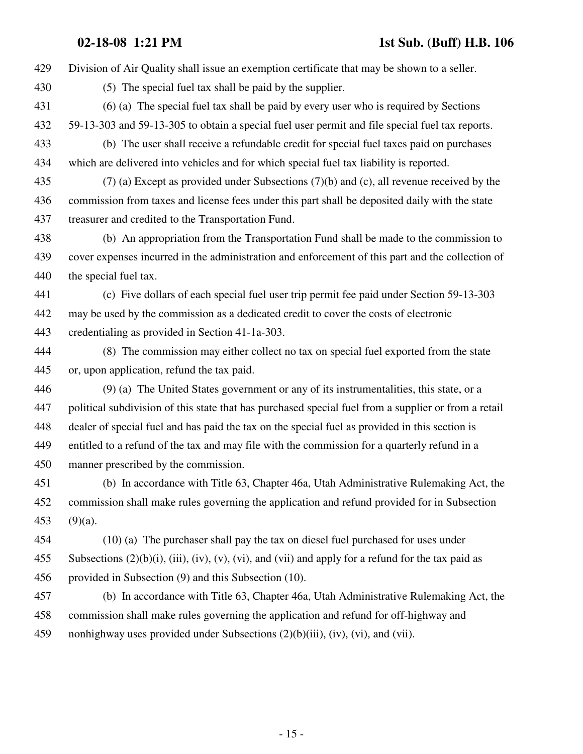429 Division of Air Quality shall issue an exemption certificate that may be shown to a seller.

- 430 (5) The special fuel tax shall be paid by the supplier.
- 431 (6) (a) The special fuel tax shall be paid by every user who is required by Sections 432 59-13-303 and 59-13-305 to obtain a special fuel user permit and file special fuel tax reports.
- 433 (b) The user shall receive a refundable credit for special fuel taxes paid on purchases 434 which are delivered into vehicles and for which special fuel tax liability is reported.
- 435 (7) (a) Except as provided under Subsections (7)(b) and (c), all revenue received by the 436 commission from taxes and license fees under this part shall be deposited daily with the state 437 treasurer and credited to the Transportation Fund.
- 438 (b) An appropriation from the Transportation Fund shall be made to the commission to 439 cover expenses incurred in the administration and enforcement of this part and the collection of 440 the special fuel tax.
- 441 (c) Five dollars of each special fuel user trip permit fee paid under Section 59-13-303 442 may be used by the commission as a dedicated credit to cover the costs of electronic 443 credentialing as provided in Section 41-1a-303.
- 444 (8) The commission may either collect no tax on special fuel exported from the state 445 or, upon application, refund the tax paid.
- 446 (9) (a) The United States government or any of its instrumentalities, this state, or a 447 political subdivision of this state that has purchased special fuel from a supplier or from a retail 448 dealer of special fuel and has paid the tax on the special fuel as provided in this section is 449 entitled to a refund of the tax and may file with the commission for a quarterly refund in a 450 manner prescribed by the commission.
- 451 (b) In accordance with Title 63, Chapter 46a, Utah Administrative Rulemaking Act, the 452 commission shall make rules governing the application and refund provided for in Subsection 453 (9)(a).
- 454 (10) (a) The purchaser shall pay the tax on diesel fuel purchased for uses under 455 Subsections  $(2)(b)(i)$ ,  $(iii)$ ,  $(iv)$ ,  $(v)$ ,  $(vi)$ , and  $(vii)$  and apply for a refund for the tax paid as 456 provided in Subsection (9) and this Subsection (10).
- 457 (b) In accordance with Title 63, Chapter 46a, Utah Administrative Rulemaking Act, the 458 commission shall make rules governing the application and refund for off-highway and 459 nonhighway uses provided under Subsections (2)(b)(iii), (iv), (vi), and (vii).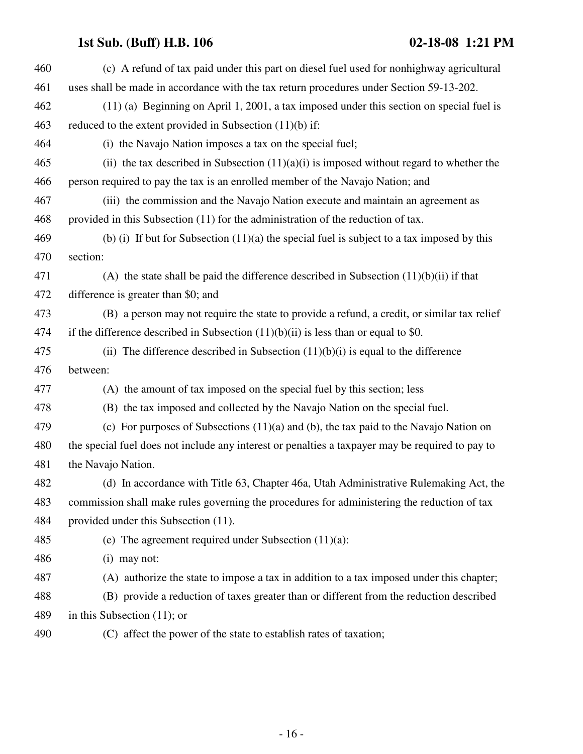| 460 | (c) A refund of tax paid under this part on diesel fuel used for nonhighway agricultural         |  |  |  |  |  |
|-----|--------------------------------------------------------------------------------------------------|--|--|--|--|--|
| 461 | uses shall be made in accordance with the tax return procedures under Section 59-13-202.         |  |  |  |  |  |
| 462 | $(11)$ (a) Beginning on April 1, 2001, a tax imposed under this section on special fuel is       |  |  |  |  |  |
| 463 | reduced to the extent provided in Subsection $(11)(b)$ if:                                       |  |  |  |  |  |
| 464 | (i) the Navajo Nation imposes a tax on the special fuel;                                         |  |  |  |  |  |
| 465 | (ii) the tax described in Subsection $(11)(a)(i)$ is imposed without regard to whether the       |  |  |  |  |  |
| 466 | person required to pay the tax is an enrolled member of the Navajo Nation; and                   |  |  |  |  |  |
| 467 | (iii) the commission and the Navajo Nation execute and maintain an agreement as                  |  |  |  |  |  |
| 468 | provided in this Subsection (11) for the administration of the reduction of tax.                 |  |  |  |  |  |
| 469 | (b) (i) If but for Subsection $(11)(a)$ the special fuel is subject to a tax imposed by this     |  |  |  |  |  |
| 470 | section:                                                                                         |  |  |  |  |  |
| 471 | (A) the state shall be paid the difference described in Subsection $(11)(b)(ii)$ if that         |  |  |  |  |  |
| 472 | difference is greater than \$0; and                                                              |  |  |  |  |  |
| 473 | (B) a person may not require the state to provide a refund, a credit, or similar tax relief      |  |  |  |  |  |
| 474 | if the difference described in Subsection $(11)(b)(ii)$ is less than or equal to \$0.            |  |  |  |  |  |
| 475 | (ii) The difference described in Subsection $(11)(b)(i)$ is equal to the difference              |  |  |  |  |  |
| 476 | between:                                                                                         |  |  |  |  |  |
| 477 | (A) the amount of tax imposed on the special fuel by this section; less                          |  |  |  |  |  |
| 478 | (B) the tax imposed and collected by the Navajo Nation on the special fuel.                      |  |  |  |  |  |
| 479 | (c) For purposes of Subsections $(11)(a)$ and $(b)$ , the tax paid to the Navajo Nation on       |  |  |  |  |  |
| 480 | the special fuel does not include any interest or penalties a taxpayer may be required to pay to |  |  |  |  |  |
| 481 | the Navajo Nation.                                                                               |  |  |  |  |  |
| 482 | (d) In accordance with Title 63, Chapter 46a, Utah Administrative Rulemaking Act, the            |  |  |  |  |  |
| 483 | commission shall make rules governing the procedures for administering the reduction of tax      |  |  |  |  |  |
| 484 | provided under this Subsection (11).                                                             |  |  |  |  |  |
| 485 | (e) The agreement required under Subsection $(11)(a)$ :                                          |  |  |  |  |  |
| 486 | $(i)$ may not:                                                                                   |  |  |  |  |  |
| 487 | (A) authorize the state to impose a tax in addition to a tax imposed under this chapter;         |  |  |  |  |  |
| 488 | (B) provide a reduction of taxes greater than or different from the reduction described          |  |  |  |  |  |
| 489 | in this Subsection $(11)$ ; or                                                                   |  |  |  |  |  |
| 490 | (C) affect the power of the state to establish rates of taxation;                                |  |  |  |  |  |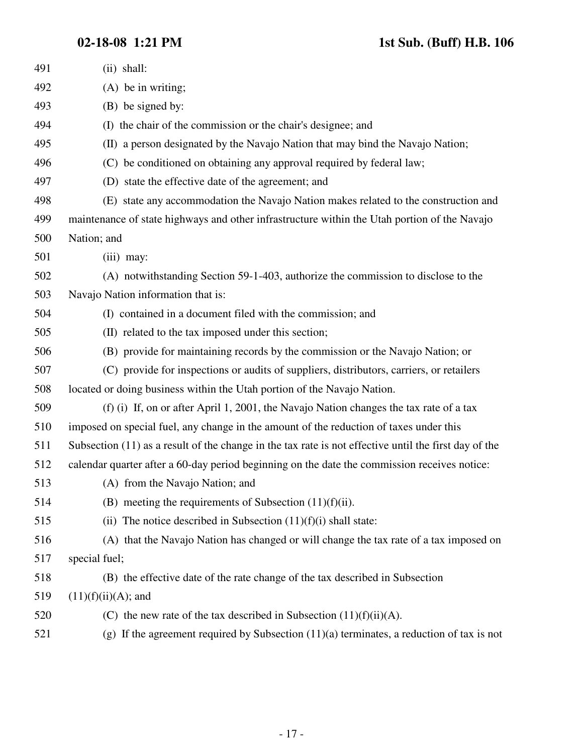| 491 | $(ii)$ shall:                                                                                           |
|-----|---------------------------------------------------------------------------------------------------------|
| 492 | $(A)$ be in writing;                                                                                    |
| 493 | (B) be signed by:                                                                                       |
| 494 | (I) the chair of the commission or the chair's designee; and                                            |
| 495 | (II) a person designated by the Navajo Nation that may bind the Navajo Nation;                          |
| 496 | (C) be conditioned on obtaining any approval required by federal law;                                   |
| 497 | (D) state the effective date of the agreement; and                                                      |
| 498 | (E) state any accommodation the Navajo Nation makes related to the construction and                     |
| 499 | maintenance of state highways and other infrastructure within the Utah portion of the Navajo            |
| 500 | Nation; and                                                                                             |
| 501 | $(iii)$ may:                                                                                            |
| 502 | (A) notwithstanding Section 59-1-403, authorize the commission to disclose to the                       |
| 503 | Navajo Nation information that is:                                                                      |
| 504 | (I) contained in a document filed with the commission; and                                              |
| 505 | (II) related to the tax imposed under this section;                                                     |
| 506 | (B) provide for maintaining records by the commission or the Navajo Nation; or                          |
| 507 | (C) provide for inspections or audits of suppliers, distributors, carriers, or retailers                |
| 508 | located or doing business within the Utah portion of the Navajo Nation.                                 |
| 509 | (f) (i) If, on or after April 1, 2001, the Navajo Nation changes the tax rate of a tax                  |
| 510 | imposed on special fuel, any change in the amount of the reduction of taxes under this                  |
| 511 | Subsection $(11)$ as a result of the change in the tax rate is not effective until the first day of the |
| 512 | calendar quarter after a 60-day period beginning on the date the commission receives notice:            |
| 513 | (A) from the Navajo Nation; and                                                                         |
| 514 | (B) meeting the requirements of Subsection $(11)(f)(ii)$ .                                              |
| 515 | (ii) The notice described in Subsection $(11)(f)(i)$ shall state:                                       |
| 516 | (A) that the Navajo Nation has changed or will change the tax rate of a tax imposed on                  |
| 517 | special fuel;                                                                                           |
| 518 | (B) the effective date of the rate change of the tax described in Subsection                            |
| 519 | $(11)(f)(ii)(A);$ and                                                                                   |
| 520 | (C) the new rate of the tax described in Subsection $(11)(f)(ii)(A)$ .                                  |
| 521 | (g) If the agreement required by Subsection $(11)(a)$ terminates, a reduction of tax is not             |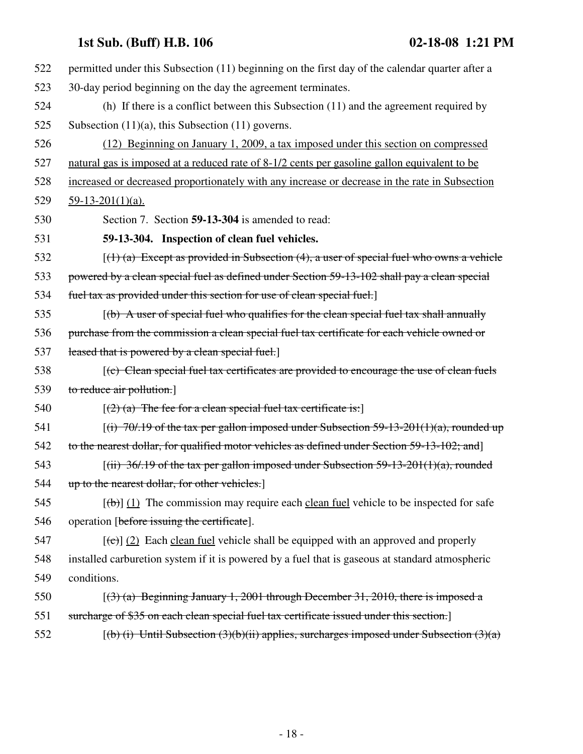| 522 | permitted under this Subsection (11) beginning on the first day of the calendar quarter after a     |  |  |  |  |  |
|-----|-----------------------------------------------------------------------------------------------------|--|--|--|--|--|
| 523 | 30-day period beginning on the day the agreement terminates.                                        |  |  |  |  |  |
| 524 | (h) If there is a conflict between this Subsection (11) and the agreement required by               |  |  |  |  |  |
| 525 | Subsection $(11)(a)$ , this Subsection $(11)$ governs.                                              |  |  |  |  |  |
| 526 | (12) Beginning on January 1, 2009, a tax imposed under this section on compressed                   |  |  |  |  |  |
| 527 | natural gas is imposed at a reduced rate of 8-1/2 cents per gasoline gallon equivalent to be        |  |  |  |  |  |
| 528 | increased or decreased proportionately with any increase or decrease in the rate in Subsection      |  |  |  |  |  |
| 529 | $59-13-201(1)(a)$ .                                                                                 |  |  |  |  |  |
| 530 | Section 7. Section 59-13-304 is amended to read:                                                    |  |  |  |  |  |
| 531 | 59-13-304. Inspection of clean fuel vehicles.                                                       |  |  |  |  |  |
| 532 | $(1)$ (a) Except as provided in Subsection (4), a user of special fuel who owns a vehicle           |  |  |  |  |  |
| 533 | powered by a clean special fuel as defined under Section 59-13-102 shall pay a clean special        |  |  |  |  |  |
| 534 | fuel tax as provided under this section for use of clean special fuel.]                             |  |  |  |  |  |
| 535 | $(\mathbf{b})$ A user of special fuel who qualifies for the clean special fuel tax shall annually   |  |  |  |  |  |
| 536 | purchase from the commission a clean special fuel tax certificate for each vehicle owned or         |  |  |  |  |  |
| 537 | leased that is powered by a clean special fuel.                                                     |  |  |  |  |  |
| 538 | [(c) Clean special fuel tax certificates are provided to encourage the use of clean fuels           |  |  |  |  |  |
| 539 | to reduce air pollution.]                                                                           |  |  |  |  |  |
| 540 | $[(2)$ (a) The fee for a clean special fuel tax certificate is:                                     |  |  |  |  |  |
| 541 | $[(i)$ 70/.19 of the tax per gallon imposed under Subsection 59-13-201(1)(a), rounded up            |  |  |  |  |  |
| 542 | to the nearest dollar, for qualified motor vehicles as defined under Section 59-13-102; and]        |  |  |  |  |  |
| 543 | $[(iii) 36/0.19]$ of the tax per gallon imposed under Subsection 59-13-201(1)(a), rounded           |  |  |  |  |  |
| 544 | up to the nearest dollar, for other vehicles.                                                       |  |  |  |  |  |
| 545 | $[\theta]$ (1) The commission may require each clean fuel vehicle to be inspected for safe          |  |  |  |  |  |
| 546 | operation [before issuing the certificate].                                                         |  |  |  |  |  |
| 547 | $[\text{(\texttt{c})}]$ (2) Each clean fuel vehicle shall be equipped with an approved and properly |  |  |  |  |  |
| 548 | installed carburetion system if it is powered by a fuel that is gaseous at standard atmospheric     |  |  |  |  |  |
| 549 | conditions.                                                                                         |  |  |  |  |  |
| 550 | $(3)$ (a) Beginning January 1, 2001 through December 31, 2010, there is imposed a                   |  |  |  |  |  |
| 551 | surcharge of \$35 on each clean special fuel tax certificate issued under this section.             |  |  |  |  |  |
| 552 | $[(b) (i)$ Until Subsection (3)(b)(ii) applies, surcharges imposed under Subsection (3)(a)          |  |  |  |  |  |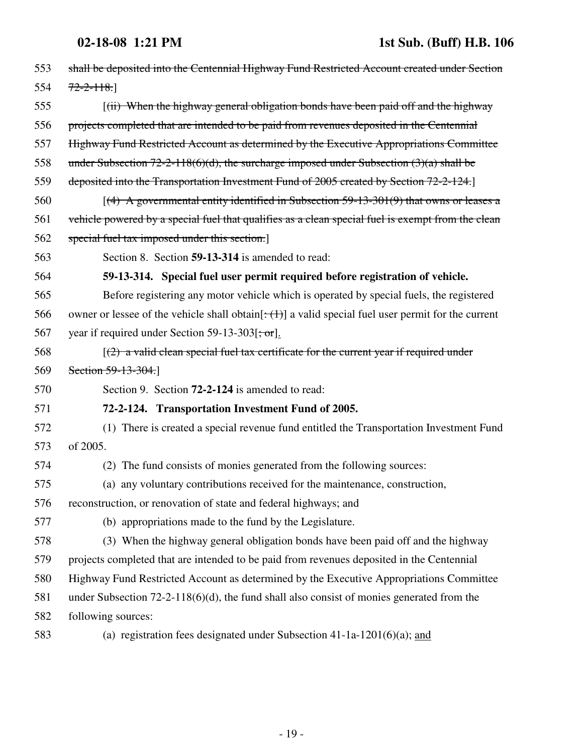| 553 | shall be deposited into the Centennial Highway Fund Restricted Account created under Section               |
|-----|------------------------------------------------------------------------------------------------------------|
| 554 | $72 - 2 - 118.$                                                                                            |
| 555 | [(ii) When the highway general obligation bonds have been paid off and the highway                         |
| 556 | projects completed that are intended to be paid from revenues deposited in the Centennial                  |
| 557 | Highway Fund Restricted Account as determined by the Executive Appropriations Committee                    |
| 558 | under Subsection 72-2-118(6)(d), the surcharge imposed under Subsection $(3)(a)$ shall be                  |
| 559 | deposited into the Transportation Investment Fund of 2005 created by Section 72-2-124.                     |
| 560 | $(4)$ A governmental entity identified in Subsection 59-13-301(9) that owns or leases a                    |
| 561 | vehicle powered by a special fuel that qualifies as a clean special fuel is exempt from the clean          |
| 562 | special fuel tax imposed under this section.]                                                              |
| 563 | Section 8. Section 59-13-314 is amended to read:                                                           |
| 564 | 59-13-314. Special fuel user permit required before registration of vehicle.                               |
| 565 | Before registering any motor vehicle which is operated by special fuels, the registered                    |
| 566 | owner or lessee of the vehicle shall obtain $[\div(\pm)]$ a valid special fuel user permit for the current |
| 567 | year if required under Section 59-13-303[; or].                                                            |
| 568 | $(2)$ a valid clean special fuel tax certificate for the current year if required under                    |
| 569 | Section $59-13-304$ .                                                                                      |
| 570 | Section 9. Section <b>72-2-124</b> is amended to read:                                                     |
| 571 | 72-2-124. Transportation Investment Fund of 2005.                                                          |
| 572 | (1) There is created a special revenue fund entitled the Transportation Investment Fund                    |
| 573 | of 2005.                                                                                                   |
| 574 | (2) The fund consists of monies generated from the following sources:                                      |
| 575 | (a) any voluntary contributions received for the maintenance, construction,                                |
| 576 | reconstruction, or renovation of state and federal highways; and                                           |
| 577 | (b) appropriations made to the fund by the Legislature.                                                    |
| 578 | (3) When the highway general obligation bonds have been paid off and the highway                           |
| 579 | projects completed that are intended to be paid from revenues deposited in the Centennial                  |
| 580 | Highway Fund Restricted Account as determined by the Executive Appropriations Committee                    |
| 581 | under Subsection $72-2-118(6)(d)$ , the fund shall also consist of monies generated from the               |
| 582 | following sources:                                                                                         |
| 583 | (a) registration fees designated under Subsection $41-1a-1201(6)(a)$ ; and                                 |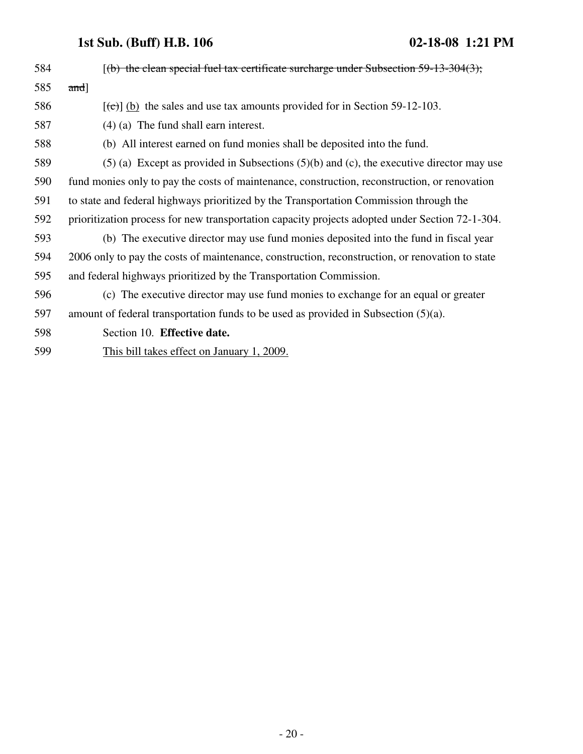| 584 | $(6)$ the clean special fuel tax certificate surcharge under Subsection 59-13-304(3);           |
|-----|-------------------------------------------------------------------------------------------------|
| 585 | $and$ ]                                                                                         |
| 586 | $[\text{(\text{e})}]$ (b) the sales and use tax amounts provided for in Section 59-12-103.      |
| 587 | $(4)$ (a) The fund shall earn interest.                                                         |
| 588 | (b) All interest earned on fund monies shall be deposited into the fund.                        |
| 589 | $(5)$ (a) Except as provided in Subsections $(5)(b)$ and (c), the executive director may use    |
| 590 | fund monies only to pay the costs of maintenance, construction, reconstruction, or renovation   |
| 591 | to state and federal highways prioritized by the Transportation Commission through the          |
| 592 | prioritization process for new transportation capacity projects adopted under Section 72-1-304. |
| 593 | (b) The executive director may use fund monies deposited into the fund in fiscal year           |
| 594 | 2006 only to pay the costs of maintenance, construction, reconstruction, or renovation to state |
| 595 | and federal highways prioritized by the Transportation Commission.                              |
| 596 | (c) The executive director may use fund monies to exchange for an equal or greater              |
| 597 | amount of federal transportation funds to be used as provided in Subsection $(5)(a)$ .          |
| 598 | Section 10. Effective date.                                                                     |
|     |                                                                                                 |

599 This bill takes effect on January 1, 2009.